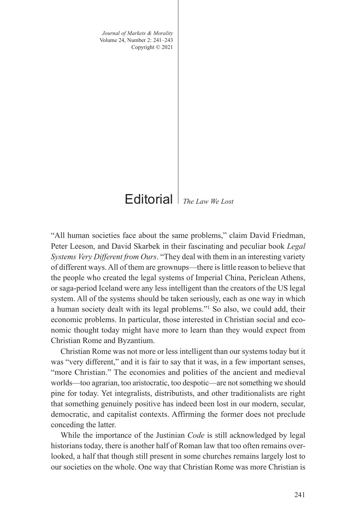*Journal of Markets & Morality* Volume 24, Number 2: 241–243 Copyright © 2021

*The Law We Lost* Editorial

"All human societies face about the same problems," claim David Friedman, Peter Leeson, and David Skarbek in their fascinating and peculiar book *Legal Systems Very Different from Ours*. "They deal with them in an interesting variety of different ways. All of them are grownups—there is little reason to believe that the people who created the legal systems of Imperial China, Periclean Athens, or saga-period Iceland were any less intelligent than the creators of the US legal system. All of the systems should be taken seriously, each as one way in which a human society dealt with its legal problems."1 So also, we could add, their economic problems. In particular, those interested in Christian social and economic thought today might have more to learn than they would expect from Christian Rome and Byzantium.

Christian Rome was not more or less intelligent than our systems today but it was "very different," and it is fair to say that it was, in a few important senses, "more Christian." The economies and polities of the ancient and medieval worlds—too agrarian, too aristocratic, too despotic—are not something we should pine for today. Yet integralists, distributists, and other traditionalists are right that something genuinely positive has indeed been lost in our modern, secular, democratic, and capitalist contexts. Affirming the former does not preclude conceding the latter.

While the importance of the Justinian *Code* is still acknowledged by legal historians today, there is another half of Roman law that too often remains overlooked, a half that though still present in some churches remains largely lost to our societies on the whole. One way that Christian Rome was more Christian is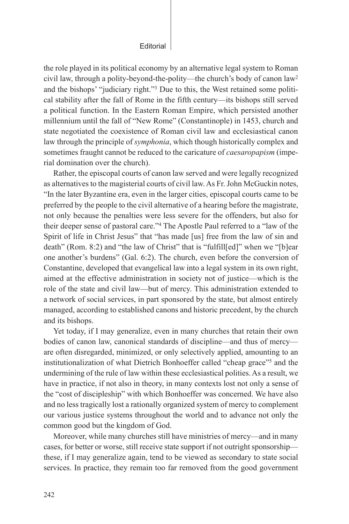## Editorial

the role played in its political economy by an alternative legal system to Roman civil law, through a polity-beyond-the-polity—the church's body of canon law2 and the bishops' "judiciary right."3 Due to this, the West retained some political stability after the fall of Rome in the fifth century—its bishops still served a political function. In the Eastern Roman Empire, which persisted another millennium until the fall of "New Rome" (Constantinople) in 1453, church and state negotiated the coexistence of Roman civil law and ecclesiastical canon law through the principle of *symphonia*, which though historically complex and sometimes fraught cannot be reduced to the caricature of *caesaropapism* (imperial domination over the church).

Rather, the episcopal courts of canon law served and were legally recognized as alternatives to the magisterial courts of civil law. As Fr. John McGuckin notes, "In the later Byzantine era, even in the larger cities, episcopal courts came to be preferred by the people to the civil alternative of a hearing before the magistrate, not only because the penalties were less severe for the offenders, but also for their deeper sense of pastoral care."4 The Apostle Paul referred to a "law of the Spirit of life in Christ Jesus" that "has made [us] free from the law of sin and death" (Rom. 8:2) and "the law of Christ" that is "fulfill[ed]" when we "[b]ear one another's burdens" (Gal. 6:2). The church, even before the conversion of Constantine, developed that evangelical law into a legal system in its own right, aimed at the effective administration in society not of justice—which is the role of the state and civil law—but of mercy. This administration extended to a network of social services, in part sponsored by the state, but almost entirely managed, according to established canons and historic precedent, by the church and its bishops.

Yet today, if I may generalize, even in many churches that retain their own bodies of canon law, canonical standards of discipline—and thus of mercy are often disregarded, minimized, or only selectively applied, amounting to an institutionalization of what Dietrich Bonhoeffer called "cheap grace"5 and the undermining of the rule of law within these ecclesiastical polities. As a result, we have in practice, if not also in theory, in many contexts lost not only a sense of the "cost of discipleship" with which Bonhoeffer was concerned. We have also and no less tragically lost a rationally organized system of mercy to complement our various justice systems throughout the world and to advance not only the common good but the kingdom of God.

Moreover, while many churches still have ministries of mercy—and in many cases, for better or worse, still receive state support if not outright sponsorship these, if I may generalize again, tend to be viewed as secondary to state social services. In practice, they remain too far removed from the good government